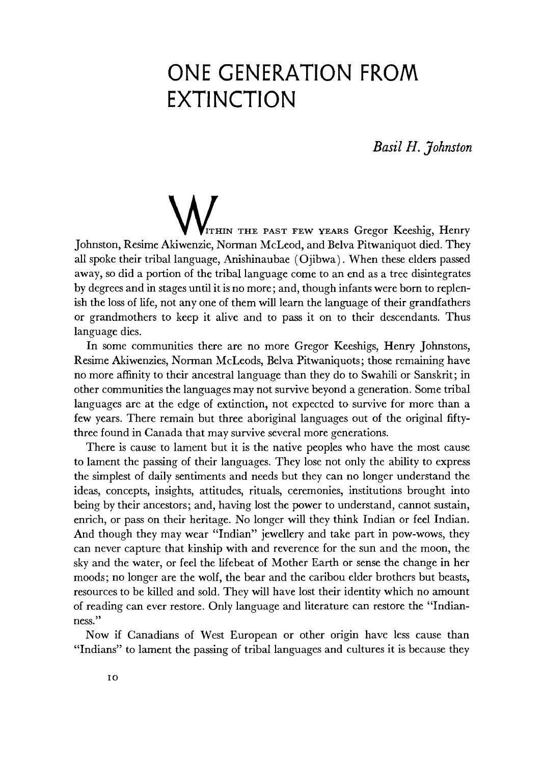## **ONE GENERATION FROM EXTINCTION**

## *Basil H. Johnston*

ITHIN THE PAST FEW YEARS Gregor Keeshig, Henry Johnston, Resime Akiwenzie, Norman McLeod, and Belva Pitwaniquot died. They all spoke their tribal language, Anishinaubae (Ojibwa). When these elders passed away, so did a portion of the tribal language come to an end as a tree disintegrates by degrees and in stages until it is no more ; and, though infants were born to replenish the loss of life, not any one of them will learn the language of their grandfathers or grandmothers to keep it alive and to pass it on to their descendants. Thus language dies.

In some communities there are no more Gregor Keeshigs, Henry Johnstons, Resime Akiwenzies, Norman McLeods, Belva Pitwaniquots; those remaining have no more affinity to their ancestral language than they do to Swahili or Sanskrit ; in other communities the languages may not survive beyond a generation. Some tribal languages are at the edge of extinction, not expected to survive for more than a few years. There remain but three aboriginal languages out of the original fiftythree found in Canada that may survive several more generations.

There is cause to lament but it is the native peoples who have the most cause to lament the passing of their languages. They lose not only the ability to express the simplest of daily sentiments and needs but they can no longer understand the ideas, concepts, insights, attitudes, rituals, ceremonies, institutions brought into being by their ancestors ; and, having lost the power to understand, cannot sustain, enrich, or pass on their heritage. No longer will they think Indian or feel Indian. And though they may wear "Indian" jewellery and take part in pow-wows, they can never capture that kinship with and reverence for the sun and the moon, the sky and the water, or feel the lifebeat of Mother Earth or sense the change in her moods ; no longer are the wolf, the bear and the caribou elder brothers but beasts, resources to be killed and sold. They will have lost their identity which no amount of reading can ever restore. Only language and literature can restore the "Indianness."

Now if Canadians of West European or other origin have less cause than "Indians" to lament the passing of tribal languages and cultures it is because they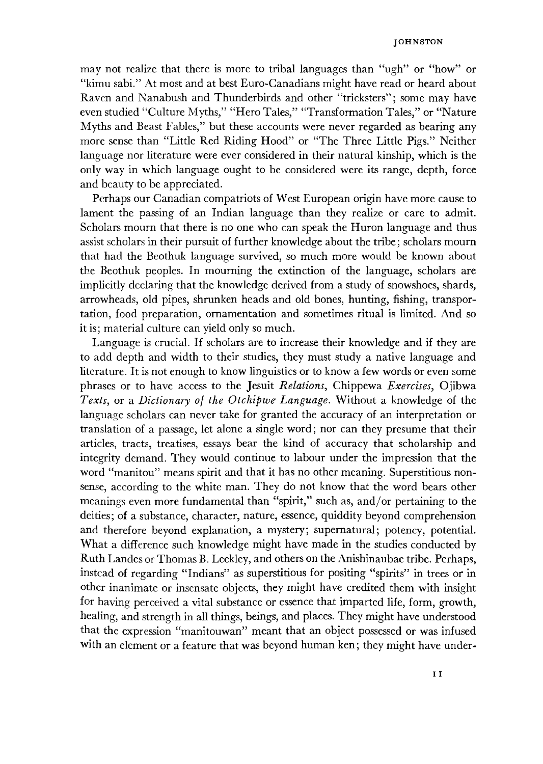may not realize that there is more to tribal languages than "ugh" or "how" or "kimu sabi." At most and at best Euro-Canadians might have read or heard about Raven and Nanabush and Thunderbirds and other "tricksters"; some may have even studied "Culture Myths," "Hero Tales," "Transformation Tales," or "Nature Myths and Beast Fables," but these accounts were never regarded as bearing any more sense than "Little Red Riding Hood" or "The Three Little Pigs." Neither language nor literature were ever considered in their natural kinship, which is the only way in which language ought to be considered were its range, depth, force and beauty to be appreciated.

Perhaps our Canadian compatriots of West European origin have more cause to lament the passing of an Indian language than they realize or care to admit. Scholars mourn that there is no one who can speak the Huron language and thus assist scholars in their pursuit of further knowledge about the tribe; scholars mourn that had the Beothuk language survived, so much more would be known about the Beothuk peoples. In mourning the extinction of the language, scholars are implicitly declaring that the knowledge derived from a study of snowshoes, shards, arrowheads, old pipes, shrunken heads and old bones, hunting, fishing, transportation, food preparation, ornamentation and sometimes ritual is limited. And so it is; material culture can yield only so much.

Language is crucial. If scholars are to increase their knowledge and if they are to add depth and width to their studies, they must study a native language and literature. It is not enough to know linguistics or to know a few words or even some phrases or to have access to the Jesuit *Relations,* Chippewa *Exercises,* Ojibwa *Texts,* or a *Dictionary of the Otchipwe Language.* Without a knowledge of the language scholars can never take for granted the accuracy of an interpretation or translation of a passage, let alone a single word ; nor can they presume that their articles, tracts, treatises, essays bear the kind of accuracy that scholarship and integrity demand. They would continue to labour under the impression that the word "manitou" means spirit and that it has no other meaning. Superstitious nonsense, according to the white man. They do not know that the word bears other meanings even more fundamental than "spirit," such as, and/or pertaining to the deities; of a substance, character, nature, essence, quiddity beyond comprehension and therefore beyond explanation, a mystery; supernatural; potency, potential. What a difference such knowledge might have made in the studies conducted by Ruth Landes or Thomas B. Leekley, and others on the Anishinaubae tribe. Perhaps, instead of regarding "Indians" as superstitious for positing "spirits" in trees or in other inanimate or insensate objects, they might have credited them with insight for having perceived a vital substance or essence that imparted life, form, growth, healing, and strength in all things, beings, and places. They might have understood that the expression "manitouwan" meant that an object possessed or was infused with an element or a feature that was beyond human ken; they might have under-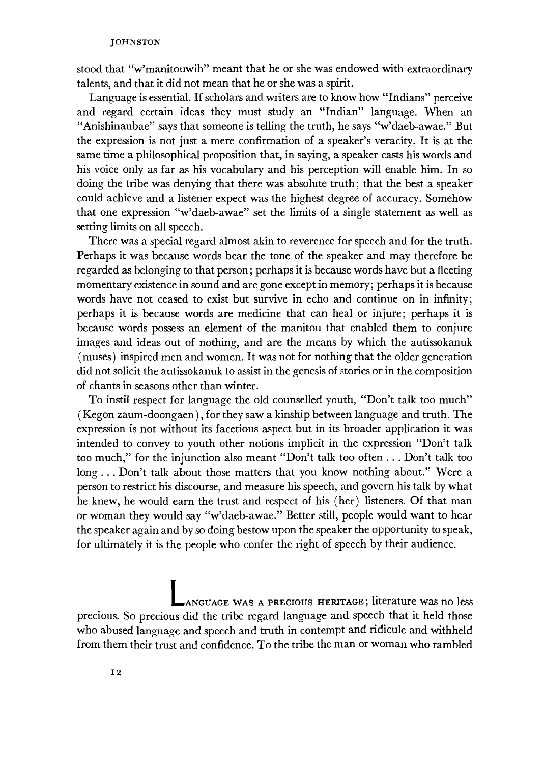## **JOHNSTON**

stood that "w'manitouwih" meant that he or she was endowed with extraordinary talents, and that it did not mean that he or she was a spirit.

Language is essential. If scholars and writers are to know how "Indians" perceive and regard certain ideas they must study an "Indian" language. When an "Anishinaubae" says that someone is telling the truth, he says "w'daeb-awae." But the expression is not just a mere confirmation of a speaker's veracity. It is at the same time a philosophical proposition that, in saying, a speaker casts his words and his voice only as far as his vocabulary and his perception will enable him. In so doing the tribe was denying that there was absolute truth ; that the best a speaker could achieve and a listener expect was the highest degree of accuracy. Somehow that one expression "w'daeb-awae" set the limits of a single statement as well as setting limits on all speech.

There was a special regard almost akin to reverence for speech and for the truth. Perhaps it was because words bear the tone of the speaker and may therefore be regarded as belonging to that person ; perhaps it is because words have but a fleeting momentary existence in sound and are gone except in memory ; perhaps it is because words have not ceased to exist but survive in echo and continue on in infinity; perhaps it is because words are medicine that can heal or injure; perhaps it is because words possess an element of the manitou that enabled them to conjure images and ideas out of nothing, and are the means by which the autissokanuk (muses) inspired men and women. It was not for nothing that the older generation did not solicit the autissokanuk to assist in the genesis of stories or in the composition of chants in seasons other than winter.

To instil respect for language the old counselled youth, "Don't talk too much" (Kegon zaum-doongaen), for they saw a kinship between language and truth. The expression is not without its facetious aspect but in its broader application it was intended to convey to youth other notions implicit in the expression "Don't talk too much," for the injunction also meant "Don't talk too often . . . Don't talk too long . . . Don't talk about those matters that you know nothing about." Were a person to restrict his discourse, and measure his speech, and govern his talk by what he knew, he would earn the trust and respect of his (her) listeners. Of that man or woman they would say "w'daeb-awae." Better still, people would want to hear the speaker again and by so doing bestow upon the speaker the opportunity to speak, for ultimately it is the people who confer the right of speech by their audience.

**L**•ANGUAGE WAS A PRECIOUS HERITAGE; literature was no less precious. So precious did the tribe regard language and speech that it held those who abused language and speech and truth in contempt and ridicule and withheld from them their trust and confidence. To the tribe the man or woman who rambled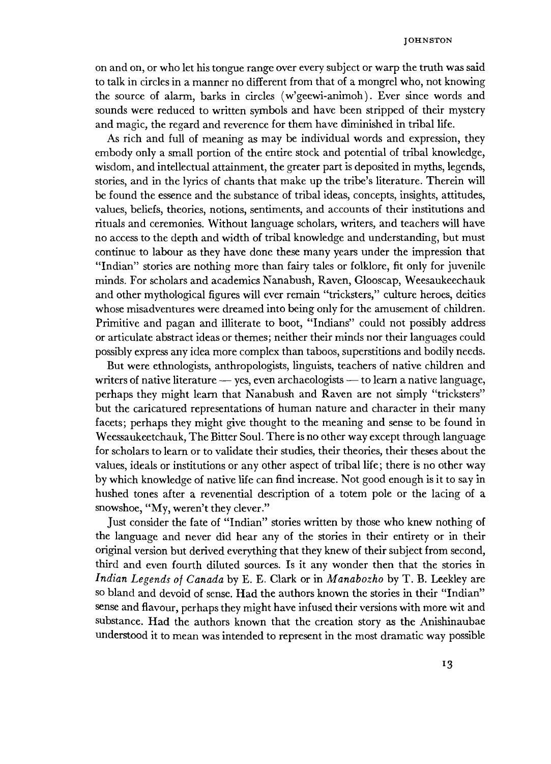on and on, or who let his tongue range over every subject or warp the truth was said to talk in circles in a manner no different from that of a mongrel who, not knowing the source of alarm, barks in circles (w'geewi-animoh). Ever since words and sounds were reduced to written symbols and have been stripped of their mystery and magic, the regard and reverence for them have diminished in tribal life.

As rich and full of meaning as may be individual words and expression, they embody only a small portion of the entire stock and potential of tribal knowledge, wisdom, and intellectual attainment, the greater part is deposited in myths, legends, stories, and in the lyrics of chants that make up the tribe's literature. Therein will be found the essence and the substance of tribal ideas, concepts, insights, attitudes, values, beliefs, theories, notions, sentiments, and accounts of their institutions and rituals and ceremonies. Without language scholars, writers, and teachers will have no access to the depth and width of tribal knowledge and understanding, but must continue to labour as they have done these many years under the impression that "Indian" stories are nothing more than fairy tales or folklore, fit only for juvenile minds. For scholars and academics Nanabush, Raven, Glooscap, Weesaukeechauk and other mythological figures will ever remain "tricksters," culture heroes, deities whose misadventures were dreamed into being only for the amusement of children. Primitive and pagan and illiterate to boot, "Indians" could not possibly address or articulate abstract ideas or themes; neither their minds nor their languages could possibly express any idea more complex than taboos, superstitions and bodily needs.

But were ethnologists, anthropologists, linguists, teachers of native children and writers of native literature — yes, even archaeologists — to learn a native language, perhaps they might learn that Nanabush and Raven are not simply "tricksters" but the caricatured representations of human nature and character in their many facets; perhaps they might give thought to the meaning and sense to be found in Weessaukeetchauk, The Bitter Soul. There is no other way except through language for scholars to learn or to validate their studies, their theories, their theses about the values, ideals or institutions or any other aspect of tribal life ; there is no other way by which knowledge of native life can find increase. Not good enough is it to say in hushed tones after a revenential description of a totem pole or the lacing of a snowshoe, "My, weren't they clever."

Just consider the fate of "Indian" stories written by those who knew nothing of the language and never did hear any of the stories in their entirety or in their original version but derived everything that they knew of their subject from second, third and even fourth diluted sources. Is it any wonder then that the stories in *Indian Legends of Canada* by E. E. Clark or in *Manabozho* by T. B. Leekley are so bland and devoid of sense. Had the authors known the stories in their "Indian" sense and flavour, perhaps they might have infused their versions with more wit and substance. Had the authors known that the creation story as the Anishinaubae understood it to mean was intended to represent in the most dramatic way possible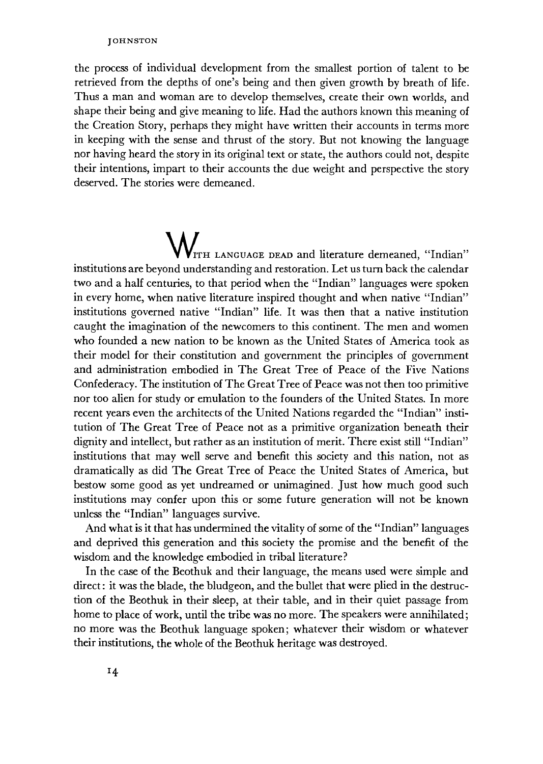## **JOHNSTON**

the process of individual development from the smallest portion of talent to be retrieved from the depths of one's being and then given growth by breath of life. Thus a man and woman are to develop themselves, create their own worlds, and shape their being and give meaning to life. Had the authors known this meaning of the Creation Story, perhaps they might have written their accounts in terms more in keeping with the sense and thrust of the story. But not knowing the language nor having heard the story in its original text or state, the authors could not, despite their intentions, impart to their accounts the due weight and perspective the story deserved. The stories were demeaned.

WITH LANGUAGE DEAD and literature demeaned, "Indian" institutions are beyond understanding and restoration. Let us turn back the calendar two and a half centuries, to that period when the "Indian" languages were spoken in every home, when native literature inspired thought and when native "Indian" institutions governed native "Indian" life. It was then that a native institution caught the imagination of the newcomers to this continent. The men and women who founded a new nation to be known as the United States of America took as their model for their constitution and government the principles of government and administration embodied in The Great Tree of Peace of the Five Nations Confederacy. The institution of The Great Tree of Peace was not then too primitive nor too alien for study or emulation to the founders of the United States. In more recent years even the architects of the United Nations regarded the "Indian" institution of The Great Tree of Peace not as a primitive organization beneath their dignity and intellect, but rather as an institution of merit. There exist still "Indian" institutions that may well serve and benefit this society and this nation, not as dramatically as did The Great Tree of Peace the United States of America, but bestow some good as yet undreamed or unimagined. Just how much good such institutions may confer upon this or some future generation will not be known unless the "Indian" languages survive.

And what is it that has undermined the vitality of some of the "Indian" languages and deprived this generation and this society the promise and the benefit of the wisdom and the knowledge embodied in tribal literature?

In the case of the Beothuk and their language, the means used were simple and direct : it was the blade, the bludgeon, and the bullet that were plied in the destruction of the Beothuk in their sleep, at their table, and in their quiet passage from home to place of work, until the tribe was no more. The speakers were annihilated; no more was the Beothuk language spoken; whatever their wisdom or whatever their institutions, the whole of the Beothuk heritage was destroyed.